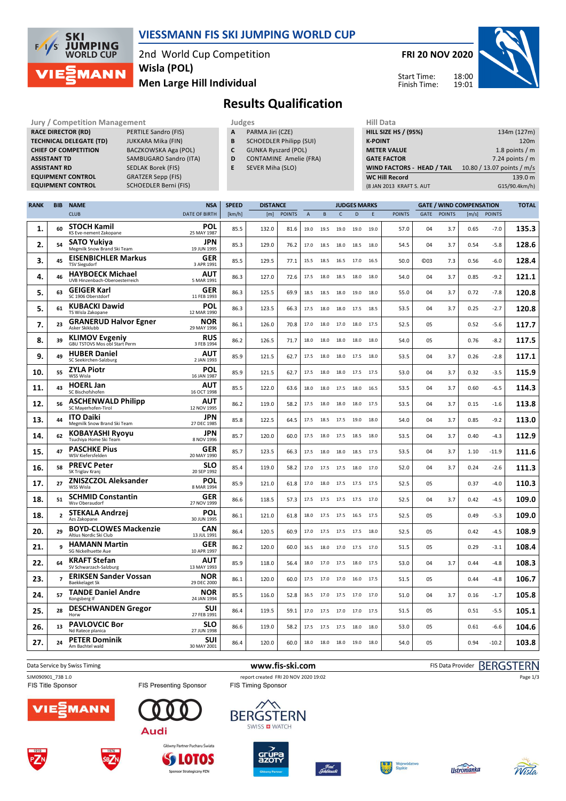

## **VIESSMANN FIS SKI JUMPING WORLD CUP**

2nd World Cup Competition **Men Large Hill Individual Wisla (POL)**

**SCHOEDLER Berni (FIS)** 

**FRI 20 NOV 2020**



Start Time: Finish Time:

## **Results Qualification**

**Jury / Competition Management Judges Hill Data**<br> **RACE DIRECTOR (RD)** PERTILE Sandro (FIS) **A** PARMA Jiri (CZE) **HILL SIZE HILL SIZE H RACE DIRECTOR (RD) TECHNICAL DELEGATE (TD)** JUKKARA Mika (FIN) **CHIEF OF COMPETITION** BACZKOWSKA Aga (POL) **ASSISTANT TD** SAMBUGARO Sandro (ITA) **ASSISTANT RD** SEDLAK Borek (FIS) **EQUIPMENT CONTROL GRATZER Sepp (FIS)**<br>**EQUIPMENT CONTROL SCHOEDLER Berni (F** 

- **A** PARMA Jiri (CZE)
- **B** SCHOEDLER Philipp (SUI)
- **C** GUNKA Ryszard (POL)
- **D** CONTAMINE Amelie (FRA)
- **E** SEVER Miha (SLO)

| <b>HILL SIZE HS / (95%)</b>       | 134m (127m)                |
|-----------------------------------|----------------------------|
| <b>K-POINT</b>                    | 120 <sub>m</sub>           |
| <b>METER VALUE</b>                | 1.8 points $/m$            |
| <b>GATE FACTOR</b>                | 7.24 points $/m$           |
| <b>WIND FACTORS - HEAD / TAIL</b> | 10.80 / 13.07 points / m/s |
| <b>WC Hill Record</b>             | 139.0 m                    |
| (8 JAN 2013 KRAFT S. AUT          | G15/90.4km/h)              |
|                                   |                            |

| <b>RANK</b> | <b>BIB</b>     | <b>NAME</b>                                                   | <b>NSA</b>                | <b>SPEED</b> | <b>DISTANCE</b> |               |                | <b>JUDGES MARKS</b> |           |              |      | <b>GATE / WIND COMPENSATION</b> |                 |               |       | <b>TOTAL</b>  |       |
|-------------|----------------|---------------------------------------------------------------|---------------------------|--------------|-----------------|---------------|----------------|---------------------|-----------|--------------|------|---------------------------------|-----------------|---------------|-------|---------------|-------|
|             |                | <b>CLUB</b>                                                   | <b>DATE OF BIRTH</b>      | [km/h]       | [m]             | <b>POINTS</b> | $\overline{A}$ | B                   | C         | $\mathsf{D}$ | E    | <b>POINTS</b>                   | GATE            | <b>POINTS</b> | [m/s] | <b>POINTS</b> |       |
| 1.          | 60             | <b>STOCH Kamil</b><br>KS Eve-nement Zakopane                  | POL<br>25 MAY 1987        | 85.5         | 132.0           | 81.6          | 19.0           | 19.5                | 19.0      | 19.0         | 19.0 | 57.0                            | 04              | 3.7           | 0.65  | $-7.0$        | 135.3 |
| 2.          | 54             | <b>SATO Yukiya</b><br>Megmilk Snow Brand Ski Team             | <b>JPN</b><br>19 JUN 1995 | 85.3         | 129.0           | 76.2          | 17.0           | 18.5                | 18.0      | 18.5         | 18.0 | 54.5                            | 04              | 3.7           | 0.54  | -5.8          | 128.6 |
| 3.          | 45             | <b>EISENBICHLER Markus</b><br><b>TSV Siegsdorf</b>            | <b>GER</b><br>3 APR 1991  | 85.5         | 129.5           | 77.1          | 15.5           | 18.5                | 16.5      | 17.0         | 16.5 | 50.0                            | C <sub>03</sub> | 7.3           | 0.56  | -6.0          | 128.4 |
| 4.          | 46             | <b>HAYBOECK Michael</b><br>UVB Hinzenbach-Oberoesterreich     | AUT<br>5 MAR 1991         | 86.3         | 127.0           | 72.6          | 17.5           | 18.0                | 18.5      | 18.0         | 18.0 | 54.0                            | 04              | 3.7           | 0.85  | $-9.2$        | 121.1 |
| 5.          | 63             | <b>GEIGER Karl</b><br>SC 1906 Oberstdorf                      | <b>GER</b><br>11 FEB 1993 | 86.3         | 125.5           | 69.9          | 18.5           | 18.5                | 18.0      | 19.0         | 18.0 | 55.0                            | 04              | 3.7           | 0.72  | $-7.8$        | 120.8 |
| 5.          | 61             | <b>KUBACKI Dawid</b><br>TS Wisla Zakopane                     | POL<br>12 MAR 1990        | 86.3         | 123.5           | 66.3          | 17.5           | 18.0                | 18.0      | 17.5         | 18.5 | 53.5                            | 04              | 3.7           | 0.25  | $-2.7$        | 120.8 |
| 7.          | 23             | <b>GRANERUD Halvor Egner</b><br>Asker Skiklubb                | <b>NOR</b><br>29 MAY 1996 | 86.1         | 126.0           | 70.8          | 17.0           | 18.0                | 17.0      | 18.0         | 17.5 | 52.5                            | 05              |               | 0.52  | $-5.6$        | 117.7 |
| 8.          | 39             | <b>KLIMOV Evgeniy</b><br><b>GBU TSTOVS Mos obl Start Perm</b> | <b>RUS</b><br>3 FEB 1994  | 86.2         | 126.5           | 71.7          | 18.0           | 18.0                | 18.0      | 18.0         | 18.0 | 54.0                            | 05              |               | 0.76  | $-8.2$        | 117.5 |
| 9.          | 49             | <b>HUBER Daniel</b><br>SC Seekirchen-Salzburg                 | AUT<br>2 JAN 1993         | 85.9         | 121.5           | 62.7          | 17.5           | 18.0                | 18.0      | 17.5         | 18.0 | 53.5                            | 04              | 3.7           | 0.26  | $-2.8$        | 117.1 |
| 10.         | 55             | <b>ZYLA Piotr</b><br>WSS Wisla                                | POL<br>16 JAN 1987        | 85.9         | 121.5           | 62.7          | 17.5           | 18.0                | 18.0      | 17.5         | 17.5 | 53.0                            | 04              | 3.7           | 0.32  | $-3.5$        | 115.9 |
| 11.         | 43             | <b>HOERL Jan</b><br>SC Bischofshofen                          | AUT<br>16 OCT 1998        | 85.5         | 122.0           | 63.6          | 18.0           | 18.0                | 17.5      | 18.0         | 16.5 | 53.5                            | 04              | 3.7           | 0.60  | -6.5          | 114.3 |
| 12.         | 56             | <b>ASCHENWALD Philipp</b><br>SC Mayerhofen-Tirol              | AUT<br>12 NOV 1995        | 86.2         | 119.0           | 58.2          | 17.5           | 18.0                | 18.0      | 18.0         | 17.5 | 53.5                            | 04              | 3.7           | 0.15  | $-1.6$        | 113.8 |
| 13.         | 44             | <b>ITO Daiki</b><br>Megmilk Snow Brand Ski Team               | JPN<br>27 DEC 1985        | 85.8         | 122.5           | 64.5          | 17.5           | 18.5                | 17.5      | 19.0         | 18.0 | 54.0                            | 04              | 3.7           | 0.85  | $-9.2$        | 113.0 |
| 14.         | 62             | KOBAYASHI Ryoyu<br>Tsuchiya Home Ski Team                     | JPN<br>8 NOV 1996         | 85.7         | 120.0           | 60.0          | 17.5           | 18.0                | 17.5      | 18.5         | 18.0 | 53.5                            | 04              | 3.7           | 0.40  | $-4.3$        | 112.9 |
| 15.         | 47             | <b>PASCHKE Pius</b><br>WSV Kiefersfelden                      | <b>GER</b><br>20 MAY 1990 | 85.7         | 123.5           | 66.3          | 17.5           | 18.0                | 18.0      | 18.5         | 17.5 | 53.5                            | 04              | 3.7           | 1.10  | $-11.9$       | 111.6 |
| 16.         | 58             | <b>PREVC Peter</b><br>SK Triglav Kranj                        | <b>SLO</b><br>20 SEP 1992 | 85.4         | 119.0           | 58.2          | 17.0           | 17.5                | 17.5      | 18.0         | 17.0 | 52.0                            | 04              | 3.7           | 0.24  | $-2.6$        | 111.3 |
| 17.         | 27             | <b>ZNISZCZOL Aleksander</b><br>WSS Wisla                      | <b>POL</b><br>8 MAR 1994  | 85.9         | 121.0           | 61.8          | 17.0           | 18.0                | 17.5      | 17.5         | 17.5 | 52.5                            | 05              |               | 0.37  | $-4.0$        | 110.3 |
| 18.         | 51             | <b>SCHMID Constantin</b><br>Wsv Oberaudorf                    | GER<br>27 NOV 1999        | 86.6         | 118.5           | 57.3          | 17.5           | 17.5                | 17.5      | 17.5         | 17.0 | 52.5                            | 04              | 3.7           | 0.42  | $-4.5$        | 109.0 |
| 18.         | $\overline{2}$ | <b>STEKALA Andrzej</b><br>Azs Zakopane                        | <b>POL</b><br>30 JUN 1995 | 86.1         | 121.0           | 61.8          | 18.0           | 17.5                | 17.5      | 16.5         | 17.5 | 52.5                            | 05              |               | 0.49  | $-5.3$        | 109.0 |
| 20.         | 29             | <b>BOYD-CLOWES Mackenzie</b><br>Altius Nordic Ski Club        | <b>CAN</b><br>13 JUL 1991 | 86.4         | 120.5           | 60.9          | 17.0           | 17.5                | 17.5 17.5 |              | 18.0 | 52.5                            | 05              |               | 0.42  | $-4.5$        | 108.9 |
| 21.         | 9              | <b>HAMANN Martin</b><br><b>SG Nickelhuette Aue</b>            | GER<br>10 APR 1997        | 86.2         | 120.0           | 60.0          | 16.5           | 18.0                | 17.0      | 17.5         | 17.0 | 51.5                            | 05              |               | 0.29  | -3.1          | 108.4 |
| 22.         | 64             | <b>KRAFT Stefan</b><br>SV Schwarzach-Salzburg                 | AUT<br>13 MAY 1993        | 85.9         | 118.0           | 56.4          | 18.0           | 17.0                | 17.5      | 18.0         | 17.5 | 53.0                            | 04              | 3.7           | 0.44  | -4.8          | 108.3 |
| 23.         | $\overline{7}$ | <b>ERIKSEN Sander Vossan</b><br><b>Baekkelaget Sk</b>         | NOR<br>29 DEC 2000        | 86.1         | 120.0           | 60.0          | 17.5           | 17.0                | 17.0      | 16.0         | 17.5 | 51.5                            | 05              |               | 0.44  | $-4.8$        | 106.7 |
| 24.         | 57             | <b>TANDE Daniel Andre</b><br>Kongsberg If                     | NOR<br>24 JAN 1994        | 85.5         | 116.0           | 52.8          | 16.5           | 17.0                | 17.5      | 17.0         | 17.0 | 51.0                            | 04              | 3.7           | 0.16  | $-1.7$        | 105.8 |
| 25.         | 28             | <b>DESCHWANDEN Gregor</b><br>Horw                             | <b>SUI</b><br>27 FEB 1991 | 86.4         | 119.5           | 59.1          | 17.0           | 17.5                | 17.0      | 17.0         | 17.5 | 51.5                            | 05              |               | 0.51  | -5.5          | 105.1 |
| 26.         | 13             | <b>PAVLOVCIC Bor</b><br>Nd Ratece planica                     | <b>SLO</b><br>27 JUN 1998 | 86.6         | 119.0           | 58.2          | 17.5           | 17.5                | 17.5      | 18.0         | 18.0 | 53.0                            | 05              |               | 0.61  | $-6.6$        | 104.6 |
| 27.         | 24             | <b>PETER Dominik</b><br>Am Bachtel wald                       | <b>SUI</b><br>30 MAY 2001 | 86.4         | 120.0           | 60.0          | 18.0           | 18.0                | 18.0      | 19.0         | 18.0 | 54.0                            | 05              |               | 0.94  | $-10.2$       | 103.8 |
|             |                |                                                               |                           |              |                 |               |                |                     |           |              |      |                                 |                 |               |       |               |       |

Data Service by Swiss Timing **WWW.fis-ski.com www.fis-ski.com** FIS Data Provider BERGSTERN

**/IEQMANN** 

FIS Title Sponsor



**SOLOTOS** 

nsor Strategiczny PZN













Page 1/3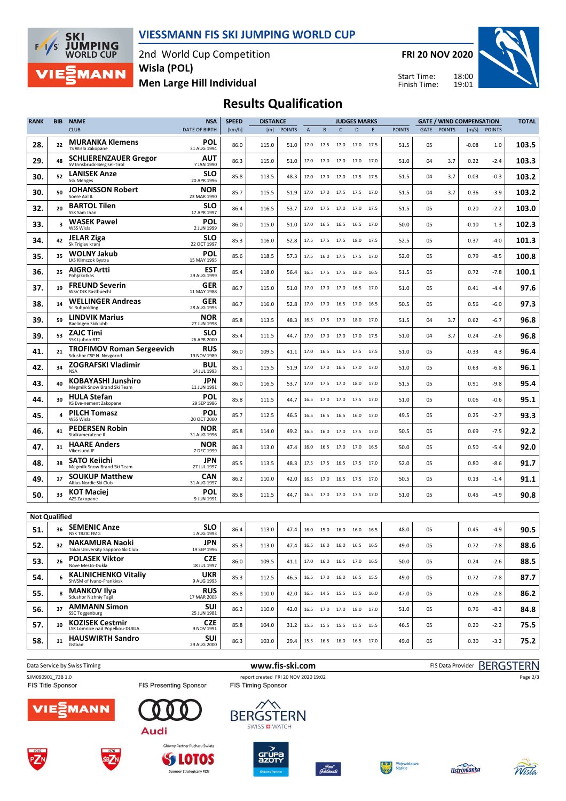

**SKI<br>JUMPING<br>WORLD CUP**  $F/1/S$ **MANN** 

2nd World Cup Competition **Men Large Hill Individual Wisla (POL)**

**FRI 20 NOV 2020**

Start Time: Finish Time:



# **Results Qualification**

| <b>RANK</b>          | <b>BIB</b> | <b>NAME</b>                                                                        | <b>NSA</b>                | <b>SPEED</b> | <b>DISTANCE</b> |               |      |      |                | <b>JUDGES MARKS</b>              |      | <b>GATE / WIND COMPENSATION</b> |      |               |         |               | <b>TOTAL</b> |
|----------------------|------------|------------------------------------------------------------------------------------|---------------------------|--------------|-----------------|---------------|------|------|----------------|----------------------------------|------|---------------------------------|------|---------------|---------|---------------|--------------|
|                      |            | <b>CLUB</b>                                                                        | <b>DATE OF BIRTH</b>      | [km/h]       | [m]             | <b>POINTS</b> | A    | B    | c              | D                                | E    | <b>POINTS</b>                   | GATE | <b>POINTS</b> | [m/s]   | <b>POINTS</b> |              |
| 28.                  | 22         | <b>MURANKA Klemens</b><br>TS Wisla Zakopane                                        | POL<br>31 AUG 1994        | 86.0         | 115.0           | 51.0          | 17.0 | 17.5 | 17.0           | 17.0                             | 17.5 | 51.5                            | 05   |               | $-0.08$ | 1.0           | 103.5        |
| 29.                  | 48         | <b>SCHLIERENZAUER Gregor</b><br>SV Innsbruck-Bergisel-Tirol                        | AUT<br>7 JAN 1990         | 86.3         | 115.0           | 51.0          | 17.0 | 17.0 | 17.0           | 17.0 17.0                        |      | 51.0                            | 04   | 3.7           | 0.22    | $-2.4$        | 103.3        |
| 30.                  | 52         | <b>LANISEK Anze</b><br><b>Ssk Menges</b>                                           | SLO<br>20 APR 1996        | 85.8         | 113.5           | 48.3          | 17.0 | 17.0 | 17.0           | 17.5                             | 17.5 | 51.5                            | 04   | 3.7           | 0.03    | $-0.3$        | 103.2        |
| 30.                  | 50         | <b>JOHANSSON Robert</b><br>Soere Aal IL                                            | <b>NOR</b><br>23 MAR 1990 | 85.7         | 115.5           | 51.9          | 17.0 | 17.0 | 17.5           | 17.5                             | 17.0 | 51.5                            | 04   | 3.7           | 0.36    | $-3.9$        | 103.2        |
| 32.                  | 20         | <b>BARTOL Tilen</b><br>SSK Sam Ihan                                                | <b>SLO</b><br>17 APR 1997 | 86.4         | 116.5           | 53.7          | 17.0 | 17.5 | 17.0           | 17.0                             | 17.5 | 51.5                            | 05   |               | 0.20    | $-2.2$        | 103.0        |
| 33.                  | 3          | <b>WASEK Pawel</b><br>WSS Wisla                                                    | POL<br>2 JUN 1999         | 86.0         | 115.0           | 51.0          | 17.0 | 16.5 | 16.5           | 16.5                             | 17.0 | 50.0                            | 05   |               | $-0.10$ | 1.3           | 102.3        |
| 34.                  | 42         | <b>JELAR Ziga</b><br>Sk Triglav kranj                                              | <b>SLO</b><br>22 OCT 1997 | 85.3         | 116.0           | 52.8          | 17.5 | 17.5 | 17.5           | 18.0                             | 17.5 | 52.5                            | 05   |               | 0.37    | $-4.0$        | 101.3        |
| 35.                  | 35         | <b>WOLNY Jakub</b><br>LKS Klimczok Bystra                                          | POL<br>15 MAY 1995        | 85.6         | 118.5           | 57.3          | 17.5 | 16.0 | 17.5           | 17.5                             | 17.0 | 52.0                            | 05   |               | 0.79    | $-8.5$        | 100.8        |
| 36.                  | 25         | <b>AIGRO Artti</b><br>Pohjakotkas                                                  | <b>EST</b><br>29 AUG 1999 | 85.4         | 118.0           | 56.4          | 16.5 | 17.5 | 17.5           | 18.0                             | 16.5 | 51.5                            | 05   |               | 0.72    | $-7.8$        | 100.1        |
| 37.                  | 19         | <b>FREUND Severin</b><br>WSV DJK Rastbuechl                                        | GER<br>11 MAY 1988        | 86.7         | 115.0           | 51.0          | 17.0 | 17.0 | 17.0           | 16.5                             | 17.0 | 51.0                            | 05   |               | 0.41    | $-4.4$        | 97.6         |
| 38.                  | 14         | <b>WELLINGER Andreas</b><br>Sc Ruhpolding                                          | GER<br>28 AUG 1995        | 86.7         | 116.0           | 52.8          | 17.0 | 17.0 | 16.5           | 17.0                             | 16.5 | 50.5                            | 05   |               | 0.56    | $-6.0$        | 97.3         |
| 39.                  | 59         | <b>LINDVIK Marius</b><br>Raelingen Skiklubb                                        | NOR<br>27 JUN 1998        | 85.8         | 113.5           | 48.3          | 16.5 | 17.5 | 17.0           | 18.0                             | 17.0 | 51.5                            | 04   | 3.7           | 0.62    | -6.7          | 96.8         |
| 39.                  | 53         | <b>ZAJC Timi</b><br>SSK Ljubno BTC                                                 | <b>SLO</b><br>26 APR 2000 | 85.4         | 111.5           | 44.7          | 17.0 | 17.0 | 17.0           | 17.0                             | 17.5 | 51.0                            | 04   | 3.7           | 0.24    | $-2.6$        | 96.8         |
| 41.                  | 21         | <b>TROFIMOV Roman Sergeevich</b><br>Sdushor CSP N. Novgorod                        | <b>RUS</b><br>19 NOV 1989 | 86.0         | 109.5           | 41.1          | 17.0 | 16.5 | 16.5           | 17.5                             | 17.5 | 51.0                            | 05   |               | -0.33   | 4.3           | 96.4         |
| 42.                  | 34         | ZOGRAFSKI Vladimir<br><b>NSA</b>                                                   | <b>BUL</b><br>14 JUL 1993 | 85.1         | 115.5           | 51.9          | 17.0 | 17.0 | 16.5           | 17.0                             | 17.0 | 51.0                            | 05   |               | 0.63    | $-6.8$        | 96.1         |
| 43.                  | 40         | <b>KOBAYASHI Junshiro</b><br>Megmilk Snow Brand Ski Team                           | JPN<br>11 JUN 1991        | 86.0         | 116.5           | 53.7          | 17.0 | 17.5 | 17.0           | 18.0                             | 17.0 | 51.5                            | 05   |               | 0.91    | $-9.8$        | 95.4         |
| 44.                  | 30         | <b>HULA Stefan</b><br>KS Eve-nement Zakopane                                       | <b>POL</b><br>29 SEP 1986 | 85.8         | 111.5           | 44.7          | 16.5 | 17.0 | 17.0           | 17.5                             | 17.0 | 51.0                            | 05   |               | 0.06    | $-0.6$        | 95.1         |
| 45.                  | 4          | <b>PILCH Tomasz</b><br>WSS Wisla                                                   | POL<br>20 OCT 2000        | 85.7         | 112.5           | 46.5          | 16.5 | 16.5 | 16.5           | 16.0                             | 17.0 | 49.5                            | 05   |               | 0.25    | $-2.7$        | 93.3         |
| 46.                  | 41         | <b>PEDERSEN Robin</b><br>Stalkameratene II                                         | <b>NOR</b><br>31 AUG 1996 | 85.8         | 114.0           | 49.2          | 16.5 | 16.0 | 17.0           | 17.5                             | 17.0 | 50.5                            | 05   |               | 0.69    | $-7.5$        | 92.2         |
| 47.                  | 31         | <b>HAARE Anders</b><br>Vikersund IF                                                | <b>NOR</b><br>7 DEC 1999  | 86.3         | 113.0           | 47.4          | 16.0 | 16.5 | 17.0           | 17.0                             | 16.5 | 50.0                            | 05   |               | 0.50    | $-5.4$        | 92.0         |
| 48.                  | 38         | <b>SATO Keiichi</b><br>Megmilk Snow Brand Ski Team                                 | JPN<br>27 JUL 1997        | 85.5         | 113.5           | 48.3          | 17.5 | 17.5 | 16.5           | 17.5                             | 17.0 | 52.0                            | 05   |               | 0.80    | $-8.6$        | 91.7         |
| 49.                  | 17         | <b>SOUKUP Matthew</b><br>Altius Nordic Ski Club                                    | CAN<br>31 AUG 1997        | 86.2         | 110.0           | 42.0          | 16.5 | 17.0 | 16.5           | 17.5                             | 17.0 | 50.5                            | 05   |               | 0.13    | $-1.4$        | 91.1         |
| 50.                  | 33         | <b>KOT Maciej</b><br>AZS Zakopane                                                  | POL<br>9 JUN 1991         | 85.8         | 111.5           | 44.7          | 16.5 | 17.0 | 17.0           | 17.5                             | 17.0 | 51.0                            | 05   |               | 0.45    | $-4.9$        | 90.8         |
| <b>Not Qualified</b> |            |                                                                                    |                           |              |                 |               |      |      |                |                                  |      |                                 |      |               |         |               |              |
| 51.                  | 36         | <b>SEMENIC Anze</b>                                                                | <b>SLO</b><br>1 AUG 1993  | 86.4         | 113.0           | 47.4          | 16.0 |      | 15.0 16.0 16.0 |                                  | 16.5 | 48.0                            | 05   |               | 0.45    | $-4.9$        | 90.5         |
| 52.                  | 32         | <b>NSK TRZIC FMG</b><br><b>NAKAMURA Naoki</b><br>Tokai University Sapporo Ski Club | JPN<br>19 SEP 1996        | 85.3         | 113.0           | 47.4          |      |      |                | 16.5   16.0   16.0   16.5   16.5 |      | 49.0                            | 05   |               | 0.72    | $-7.8$        | 88.6         |
| 53.                  | 26         | <b>POLASEK Viktor</b><br>Nove Mesto-Dukla                                          | <b>CZE</b><br>18 JUL 1997 | 86.0         | 109.5           | 41.1          |      |      |                | 17.0  16.0  16.5  17.0  16.5     |      | 50.0                            | 05   |               | 0.24    | $-2.6$        | 88.5         |
| 54.                  | 6          | <b>KALINICHENKO Vitaliy</b><br>ShVSM of Ivano-Frankivsk                            | <b>UKR</b><br>9 AUG 1993  | 85.3         | 112.5           | 46.5          |      |      |                | 16.5 17.0 16.0 16.5 15.5         |      | 49.0                            | 05   |               | 0.72    | $-7.8$        | 87.7         |
| 55.                  | 8          | <b>MANKOV Ilya</b><br>Sdushor Nizhniy Tagil                                        | <b>RUS</b><br>17 MAR 2003 | 85.8         | 110.0           | 42.0          |      |      |                | 16.5 14.5 15.5 15.5 16.0         |      | 47.0                            | 05   |               | 0.26    | $-2.8$        | 86.2         |
| 56.                  | 37         | <b>AMMANN Simon</b><br>SSC Toggenburg                                              | <b>SUI</b><br>25 JUN 1981 | 86.2         | 110.0           | 42.0          |      |      |                | 16.5 17.0 17.0 18.0 17.0         |      | 51.0                            | 05   |               | 0.76    | $-8.2$        | 84.8         |
| 57.                  | 10         | <b>KOZISEK Cestmir</b><br>LSK Lomnice nad Popelkou-DUKLA                           | <b>CZE</b><br>9 NOV 1991  | 85.8         | 104.0           | 31.2          | 15.5 |      |                | 15.5 15.5 15.5 15.5              |      | 46.5                            | 05   |               | 0.20    | $-2.2$        | 75.5         |
| 58.                  | 11         | <b>HAUSWIRTH Sandro</b><br>Gstaad                                                  | <b>SUI</b><br>29 AUG 2000 | 86.3         | 103.0           | 29.4          |      |      |                | 15.5 16.5 16.0 16.5 17.0         |      | 49.0                            | 05   |               | 0.30    | $-3.2$        | 75.2         |
|                      |            |                                                                                    |                           |              |                 |               |      |      |                |                                  |      |                                 |      |               |         |               |              |

Data Service by Swiss Timing **www.fis-ski.com** FIS Data Provider BERGSTERN SJM090901\_73B 1.0 report created FRI 20 NOV 2020 19:02<br>FIS Title Sponsor FIS Timing Sponsor FIS Timing Sponsor





Główny Partner Pucharu Świata **SS LOTOS** 

Sponsor Strategiczny PZN













Page 2/3